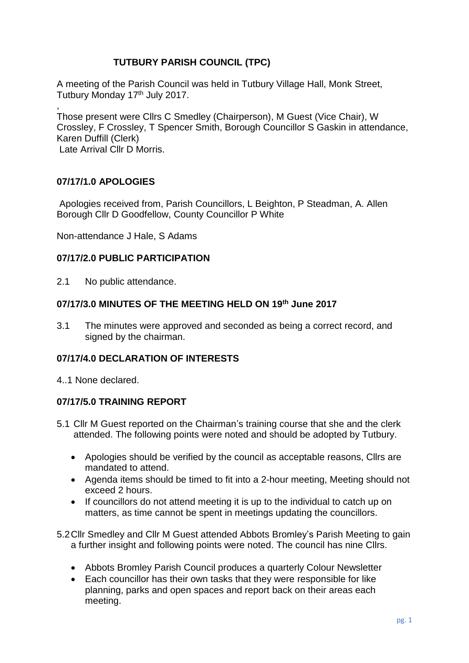# **TUTBURY PARISH COUNCIL (TPC)**

A meeting of the Parish Council was held in Tutbury Village Hall, Monk Street, Tutbury Monday 17<sup>th</sup> July 2017.

, Those present were Cllrs C Smedley (Chairperson), M Guest (Vice Chair), W Crossley, F Crossley, T Spencer Smith, Borough Councillor S Gaskin in attendance, Karen Duffill (Clerk) Late Arrival Cllr D Morris.

### **07/17/1.0 APOLOGIES**

Apologies received from, Parish Councillors, L Beighton, P Steadman, A. Allen Borough Cllr D Goodfellow, County Councillor P White

Non-attendance J Hale, S Adams

### **07/17/2.0 PUBLIC PARTICIPATION**

2.1 No public attendance.

# **07/17/3.0 MINUTES OF THE MEETING HELD ON 19th June 2017**

3.1 The minutes were approved and seconded as being a correct record, and signed by the chairman.

### **07/17/4.0 DECLARATION OF INTERESTS**

4..1 None declared.

### **07/17/5.0 TRAINING REPORT**

- 5.1 Cllr M Guest reported on the Chairman's training course that she and the clerk attended. The following points were noted and should be adopted by Tutbury.
	- Apologies should be verified by the council as acceptable reasons, Cllrs are mandated to attend.
	- Agenda items should be timed to fit into a 2-hour meeting, Meeting should not exceed 2 hours.
	- If councillors do not attend meeting it is up to the individual to catch up on matters, as time cannot be spent in meetings updating the councillors.
- 5.2Cllr Smedley and Cllr M Guest attended Abbots Bromley's Parish Meeting to gain a further insight and following points were noted. The council has nine Cllrs.
	- Abbots Bromley Parish Council produces a quarterly Colour Newsletter
	- Each councillor has their own tasks that they were responsible for like planning, parks and open spaces and report back on their areas each meeting.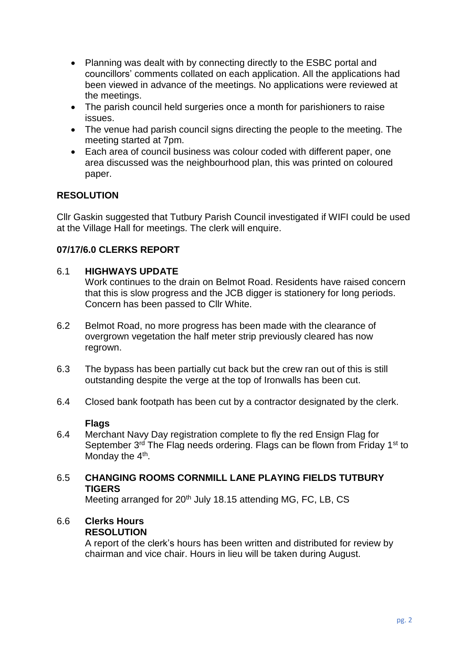- Planning was dealt with by connecting directly to the ESBC portal and councillors' comments collated on each application. All the applications had been viewed in advance of the meetings. No applications were reviewed at the meetings.
- The parish council held surgeries once a month for parishioners to raise issues.
- The venue had parish council signs directing the people to the meeting. The meeting started at 7pm.
- Each area of council business was colour coded with different paper, one area discussed was the neighbourhood plan, this was printed on coloured paper.

# **RESOLUTION**

Cllr Gaskin suggested that Tutbury Parish Council investigated if WIFI could be used at the Village Hall for meetings. The clerk will enquire.

# **07/17/6.0 CLERKS REPORT**

### 6.1 **HIGHWAYS UPDATE**

Work continues to the drain on Belmot Road. Residents have raised concern that this is slow progress and the JCB digger is stationery for long periods. Concern has been passed to Cllr White.

- 6.2 Belmot Road, no more progress has been made with the clearance of overgrown vegetation the half meter strip previously cleared has now regrown.
- 6.3 The bypass has been partially cut back but the crew ran out of this is still outstanding despite the verge at the top of Ironwalls has been cut.
- 6.4 Closed bank footpath has been cut by a contractor designated by the clerk.

### **Flags**

6.4 Merchant Navy Day registration complete to fly the red Ensign Flag for September 3<sup>rd</sup> The Flag needs ordering. Flags can be flown from Friday 1<sup>st</sup> to Monday the 4<sup>th</sup>.

### 6.5 **CHANGING ROOMS CORNMILL LANE PLAYING FIELDS TUTBURY TIGERS**

Meeting arranged for 20<sup>th</sup> July 18.15 attending MG, FC, LB, CS

#### 6.6 **Clerks Hours RESOLUTION**

A report of the clerk's hours has been written and distributed for review by chairman and vice chair. Hours in lieu will be taken during August.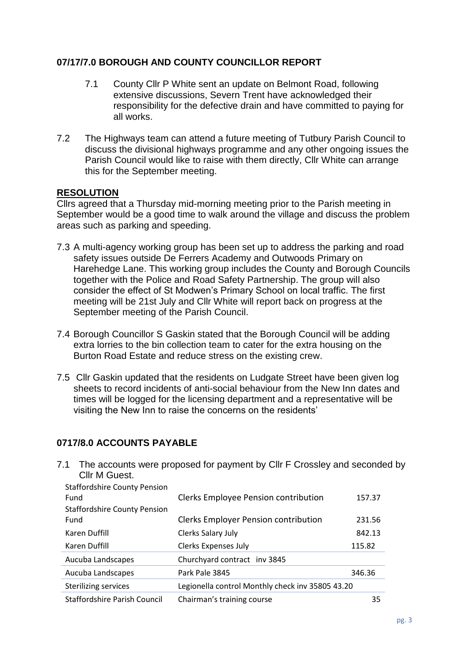# **07/17/7.0 BOROUGH AND COUNTY COUNCILLOR REPORT**

- 7.1 County Cllr P White sent an update on Belmont Road, following extensive discussions, Severn Trent have acknowledged their responsibility for the defective drain and have committed to paying for all works.
- 7.2 The Highways team can attend a future meeting of Tutbury Parish Council to discuss the divisional highways programme and any other ongoing issues the Parish Council would like to raise with them directly, Cllr White can arrange this for the September meeting.

### **RESOLUTION**

Cllrs agreed that a Thursday mid-morning meeting prior to the Parish meeting in September would be a good time to walk around the village and discuss the problem areas such as parking and speeding.

- 7.3 A multi-agency working group has been set up to address the parking and road safety issues outside De Ferrers Academy and Outwoods Primary on Harehedge Lane. This working group includes the County and Borough Councils together with the Police and Road Safety Partnership. The group will also consider the effect of St Modwen's Primary School on local traffic. The first meeting will be 21st July and Cllr White will report back on progress at the September meeting of the Parish Council.
- 7.4 Borough Councillor S Gaskin stated that the Borough Council will be adding extra lorries to the bin collection team to cater for the extra housing on the Burton Road Estate and reduce stress on the existing crew.
- 7.5 Cllr Gaskin updated that the residents on Ludgate Street have been given log sheets to record incidents of anti-social behaviour from the New Inn dates and times will be logged for the licensing department and a representative will be visiting the New Inn to raise the concerns on the residents'

# **0717/8.0 ACCOUNTS PAYABLE**

| 7. L<br>Cllr M Guest.               | The accounts were proposed for payment by Cili F Crossley and seconded |        |
|-------------------------------------|------------------------------------------------------------------------|--------|
| <b>Staffordshire County Pension</b> |                                                                        |        |
| Fund                                | Clerks Employee Pension contribution                                   | 157.37 |
| <b>Staffordshire County Pension</b> |                                                                        |        |
| Fund                                | <b>Clerks Employer Pension contribution</b>                            | 231.56 |
| Karen Duffill                       | Clerks Salary July                                                     | 842.13 |
| Karen Duffill                       | <b>Clerks Expenses July</b>                                            | 115.82 |
| Aucuba Landscapes                   | Churchyard contract inv 3845                                           |        |
| Aucuba Landscapes                   | Park Pale 3845                                                         | 346.36 |
| <b>Sterilizing services</b>         | Legionella control Monthly check inv 35805 43.20                       |        |
| <b>Staffordshire Parish Council</b> | Chairman's training course                                             | 35     |

The accounts were proposed for payment by Cllr F Crossley and seconded by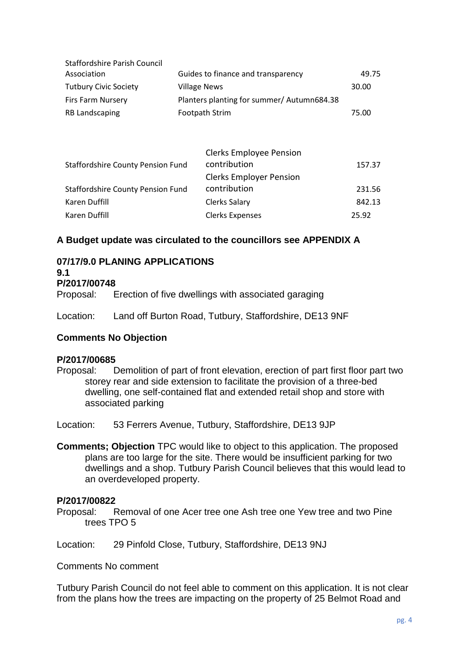| <b>Staffordshire Parish Council</b>      |                                            |                                |        |
|------------------------------------------|--------------------------------------------|--------------------------------|--------|
| Association                              | Guides to finance and transparency         | 49.75                          |        |
| <b>Tutbury Civic Society</b>             | <b>Village News</b>                        | 30.00                          |        |
| <b>Firs Farm Nursery</b>                 | Planters planting for summer/ Autumn684.38 |                                |        |
| <b>RB Landscaping</b>                    |                                            | Footpath Strim                 | 75.00  |
|                                          |                                            |                                |        |
|                                          |                                            |                                |        |
|                                          |                                            | <b>Clerks Employee Pension</b> |        |
| <b>Staffordshire County Pension Fund</b> |                                            | contribution                   | 157.37 |
|                                          |                                            | <b>Clerks Employer Pension</b> |        |
| <b>Staffordshire County Pension Fund</b> |                                            | contribution                   | 231.56 |
| Karen Duffill                            |                                            | Clerks Salary                  | 842.13 |
| Karen Duffill                            |                                            | <b>Clerks Expenses</b>         | 25.92  |

# **A Budget update was circulated to the councillors see APPENDIX A**

# **07/17/9.0 PLANING APPLICATIONS**

#### **9.1**

### **P/2017/00748**

Proposal: Erection of five dwellings with associated garaging

Location: Land off Burton Road, Tutbury, Staffordshire, DE13 9NF

### **Comments No Objection**

### **P/2017/00685**

Proposal: Demolition of part of front elevation, erection of part first floor part two storey rear and side extension to facilitate the provision of a three-bed dwelling, one self-contained flat and extended retail shop and store with associated parking

Location: 53 Ferrers Avenue, Tutbury, Staffordshire, DE13 9JP

**Comments; Objection** TPC would like to object to this application. The proposed plans are too large for the site. There would be insufficient parking for two dwellings and a shop. Tutbury Parish Council believes that this would lead to an overdeveloped property.

#### **P/2017/00822**

Proposal: Removal of one Acer tree one Ash tree one Yew tree and two Pine trees TPO 5

Location: 29 Pinfold Close, Tutbury, Staffordshire, DE13 9NJ

Comments No comment

Tutbury Parish Council do not feel able to comment on this application. It is not clear from the plans how the trees are impacting on the property of 25 Belmot Road and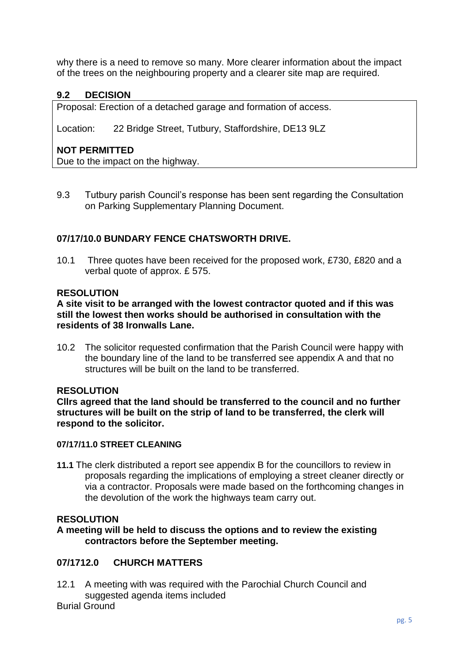why there is a need to remove so many. More clearer information about the impact of the trees on the neighbouring property and a clearer site map are required.

# **9.2 DECISION**

Proposal: Erection of a detached garage and formation of access.

Location: 22 Bridge Street, Tutbury, Staffordshire, DE13 9LZ

# **NOT PERMITTED**

Due to the impact on the highway.

9.3 Tutbury parish Council's response has been sent regarding the Consultation on Parking Supplementary Planning Document.

# **07/17/10.0 BUNDARY FENCE CHATSWORTH DRIVE.**

10.1 Three quotes have been received for the proposed work, £730, £820 and a verbal quote of approx. £ 575.

### **RESOLUTION**

**A site visit to be arranged with the lowest contractor quoted and if this was still the lowest then works should be authorised in consultation with the residents of 38 Ironwalls Lane.**

10.2 The solicitor requested confirmation that the Parish Council were happy with the boundary line of the land to be transferred see appendix A and that no structures will be built on the land to be transferred.

### **RESOLUTION**

**Cllrs agreed that the land should be transferred to the council and no further structures will be built on the strip of land to be transferred, the clerk will respond to the solicitor.**

### **07/17/11.0 STREET CLEANING**

**11.1** The clerk distributed a report see appendix B for the councillors to review in proposals regarding the implications of employing a street cleaner directly or via a contractor. Proposals were made based on the forthcoming changes in the devolution of the work the highways team carry out.

### **RESOLUTION**

**A meeting will be held to discuss the options and to review the existing contractors before the September meeting.**

# **07/1712.0 CHURCH MATTERS**

12.1 A meeting with was required with the Parochial Church Council and suggested agenda items included Burial Ground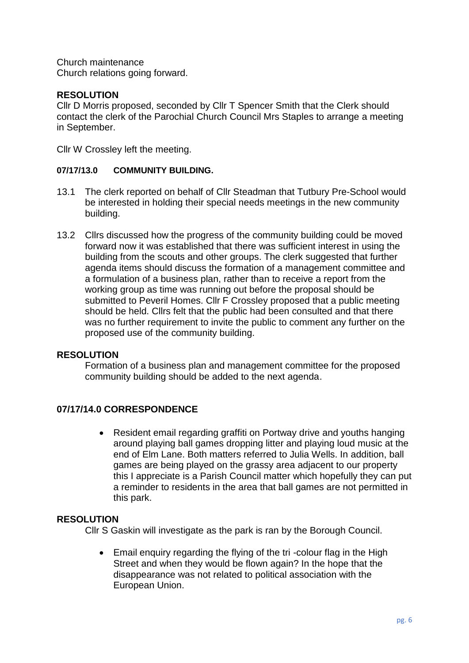Church maintenance Church relations going forward.

# **RESOLUTION**

Cllr D Morris proposed, seconded by Cllr T Spencer Smith that the Clerk should contact the clerk of the Parochial Church Council Mrs Staples to arrange a meeting in September.

Cllr W Crossley left the meeting.

### **07/17/13.0 COMMUNITY BUILDING.**

- 13.1 The clerk reported on behalf of Cllr Steadman that Tutbury Pre-School would be interested in holding their special needs meetings in the new community building.
- 13.2 Cllrs discussed how the progress of the community building could be moved forward now it was established that there was sufficient interest in using the building from the scouts and other groups. The clerk suggested that further agenda items should discuss the formation of a management committee and a formulation of a business plan, rather than to receive a report from the working group as time was running out before the proposal should be submitted to Peveril Homes. Cllr F Crossley proposed that a public meeting should be held. Cllrs felt that the public had been consulted and that there was no further requirement to invite the public to comment any further on the proposed use of the community building.

### **RESOLUTION**

Formation of a business plan and management committee for the proposed community building should be added to the next agenda.

# **07/17/14.0 CORRESPONDENCE**

• Resident email regarding graffiti on Portway drive and youths hanging around playing ball games dropping litter and playing loud music at the end of Elm Lane. Both matters referred to Julia Wells. In addition, ball games are being played on the grassy area adjacent to our property this I appreciate is a Parish Council matter which hopefully they can put a reminder to residents in the area that ball games are not permitted in this park.

### **RESOLUTION**

Cllr S Gaskin will investigate as the park is ran by the Borough Council.

• Email enquiry regarding the flying of the tri-colour flag in the High Street and when they would be flown again? In the hope that the disappearance was not related to political association with the European Union.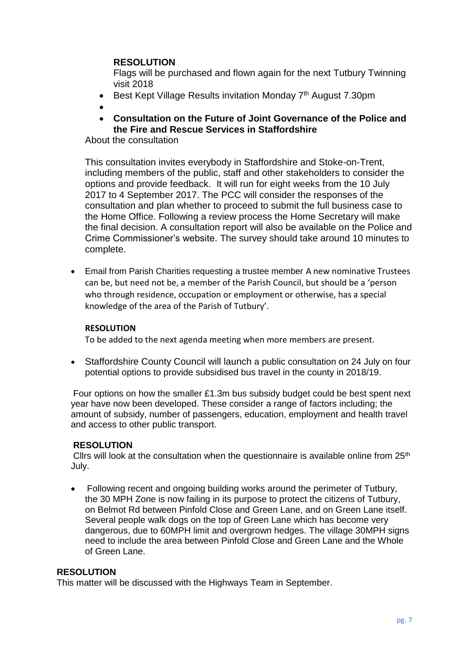### **RESOLUTION**

Flags will be purchased and flown again for the next Tutbury Twinning visit 2018

- Best Kept Village Results invitation Monday 7<sup>th</sup> August 7.30pm
- •
- **Consultation on the Future of Joint Governance of the Police and the Fire and Rescue Services in Staffordshire**

About the consultation

This consultation invites everybody in Staffordshire and Stoke-on-Trent, including members of the public, staff and other stakeholders to consider the options and provide feedback. It will run for eight weeks from the 10 July 2017 to 4 September 2017. The PCC will consider the responses of the consultation and plan whether to proceed to submit the full business case to the Home Office. Following a review process the Home Secretary will make the final decision. A consultation report will also be available on the Police and Crime Commissioner's website. The survey should take around 10 minutes to complete.

• Email from Parish Charities requesting a trustee member A new nominative Trustees can be, but need not be, a member of the Parish Council, but should be a 'person who through residence, occupation or employment or otherwise, has a special knowledge of the area of the Parish of Tutbury'.

#### **RESOLUTION**

To be added to the next agenda meeting when more members are present.

• Staffordshire County Council will launch a public consultation on 24 July on four potential options to provide subsidised bus travel in the county in 2018/19.

Four options on how the smaller £1.3m bus subsidy budget could be best spent next year have now been developed. These consider a range of factors including; the amount of subsidy, number of passengers, education, employment and health travel and access to other public transport.

### **RESOLUTION**

Cllrs will look at the consultation when the questionnaire is available online from  $25<sup>th</sup>$ July.

• Following recent and ongoing building works around the perimeter of Tutbury, the 30 MPH Zone is now failing in its purpose to protect the citizens of Tutbury, on Belmot Rd between Pinfold Close and Green Lane, and on Green Lane itself. Several people walk dogs on the top of Green Lane which has become very dangerous, due to 60MPH limit and overgrown hedges. The village 30MPH signs need to include the area between Pinfold Close and Green Lane and the Whole of Green Lane.

### **RESOLUTION**

This matter will be discussed with the Highways Team in September.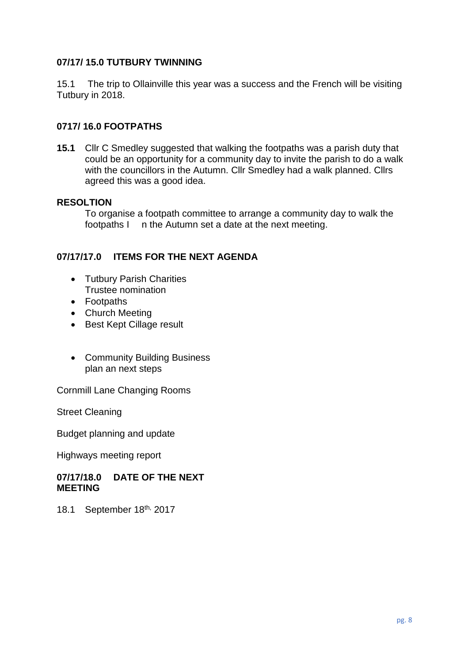## **07/17/ 15.0 TUTBURY TWINNING**

15.1 The trip to Ollainville this year was a success and the French will be visiting Tutbury in 2018.

### **0717/ 16.0 FOOTPATHS**

**15.1** Cllr C Smedley suggested that walking the footpaths was a parish duty that could be an opportunity for a community day to invite the parish to do a walk with the councillors in the Autumn. Cllr Smedley had a walk planned. Cllrs agreed this was a good idea.

#### **RESOLTION**

To organise a footpath committee to arrange a community day to walk the footpaths I n the Autumn set a date at the next meeting.

### **07/17/17.0 ITEMS FOR THE NEXT AGENDA**

- Tutbury Parish Charities Trustee nomination
- Footpaths
- Church Meeting
- Best Kept Cillage result
- Community Building Business plan an next steps

Cornmill Lane Changing Rooms

Street Cleaning

Budget planning and update

Highways meeting report

#### **07/17/18.0 DATE OF THE NEXT MEETING**

18.1 September 18th, 2017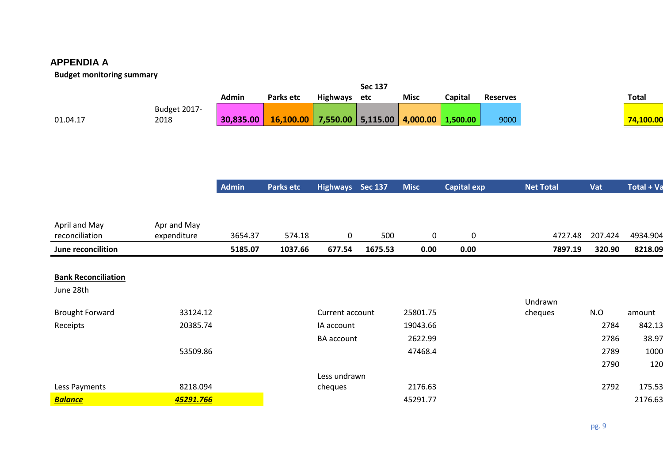# **APPENDIA A**

### **Budget monitoring summary**

|                            |              | <b>Admin</b> | Parks etc        | <b>Highways</b>   | <b>Sec 137</b><br>etc | <b>Misc</b> | Capital            | <b>Reserves</b> |                  |         | <b>Total</b> |
|----------------------------|--------------|--------------|------------------|-------------------|-----------------------|-------------|--------------------|-----------------|------------------|---------|--------------|
|                            | Budget 2017- |              |                  |                   |                       |             |                    |                 |                  |         |              |
| 01.04.17                   | 2018         | 30,835.00    | 16,100.00        | 7,550.00          | 5,115.00              | 4,000.00    | 1,500.00           | 9000            |                  |         | 74,100.00    |
|                            |              |              |                  |                   |                       |             |                    |                 |                  |         |              |
|                            |              |              |                  |                   |                       |             |                    |                 |                  |         |              |
|                            |              |              |                  |                   |                       |             |                    |                 |                  |         |              |
|                            |              | Admin        | <b>Parks etc</b> | Highways Sec 137  |                       | <b>Misc</b> | <b>Capital exp</b> |                 | <b>Net Total</b> | Vat     | Total + Va   |
|                            |              |              |                  |                   |                       |             |                    |                 |                  |         |              |
|                            |              |              |                  |                   |                       |             |                    |                 |                  |         |              |
| April and May              | Apr and May  |              |                  |                   |                       |             |                    |                 |                  |         |              |
| reconciliation             | expenditure  | 3654.37      | 574.18           | $\mathbf 0$       | 500                   | $\pmb{0}$   | $\pmb{0}$          |                 | 4727.48          | 207.424 | 4934.904     |
| June reconcilition         |              | 5185.07      | 1037.66          | 677.54            | 1675.53               | 0.00        | 0.00               |                 | 7897.19          | 320.90  | 8218.09      |
|                            |              |              |                  |                   |                       |             |                    |                 |                  |         |              |
|                            |              |              |                  |                   |                       |             |                    |                 |                  |         |              |
| <b>Bank Reconciliation</b> |              |              |                  |                   |                       |             |                    |                 |                  |         |              |
| June 28th                  |              |              |                  |                   |                       |             |                    |                 |                  |         |              |
|                            |              |              |                  |                   |                       |             |                    |                 | Undrawn          |         |              |
| <b>Brought Forward</b>     | 33124.12     |              |                  | Current account   |                       | 25801.75    |                    |                 | cheques          | N.O     | amount       |
| Receipts                   | 20385.74     |              |                  | IA account        |                       | 19043.66    |                    |                 |                  | 2784    | 842.13       |
|                            |              |              |                  | <b>BA</b> account |                       | 2622.99     |                    |                 |                  | 2786    | 38.97        |
|                            | 53509.86     |              |                  |                   |                       | 47468.4     |                    |                 |                  | 2789    | 1000         |
|                            |              |              |                  |                   |                       |             |                    |                 |                  | 2790    | 120          |
|                            |              |              |                  | Less undrawn      |                       |             |                    |                 |                  |         |              |
| Less Payments              | 8218.094     |              |                  | cheques           |                       | 2176.63     |                    |                 |                  | 2792    | 175.53       |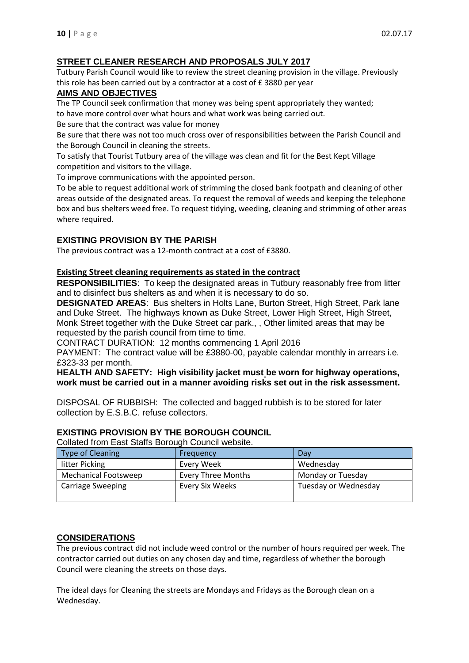#### **STREET CLEANER RESEARCH AND PROPOSALS JULY 2017**

Tutbury Parish Council would like to review the street cleaning provision in the village. Previously this role has been carried out by a contractor at a cost of £ 3880 per year

### **AIMS AND OBJECTIVES**

The TP Council seek confirmation that money was being spent appropriately they wanted; to have more control over what hours and what work was being carried out.

Be sure that the contract was value for money

Be sure that there was not too much cross over of responsibilities between the Parish Council and the Borough Council in cleaning the streets.

To satisfy that Tourist Tutbury area of the village was clean and fit for the Best Kept Village competition and visitors to the village.

To improve communications with the appointed person.

To be able to request additional work of strimming the closed bank footpath and cleaning of other areas outside of the designated areas. To request the removal of weeds and keeping the telephone box and bus shelters weed free. To request tidying, weeding, cleaning and strimming of other areas where required.

#### **EXISTING PROVISION BY THE PARISH**

The previous contract was a 12-month contract at a cost of £3880.

#### **Existing Street cleaning requirements as stated in the contract**

**RESPONSIBILITIES**: To keep the designated areas in Tutbury reasonably free from litter and to disinfect bus shelters as and when it is necessary to do so.

**DESIGNATED AREAS**: Bus shelters in Holts Lane, Burton Street, High Street, Park lane and Duke Street. The highways known as Duke Street, Lower High Street, High Street, Monk Street together with the Duke Street car park., , Other limited areas that may be requested by the parish council from time to time.

CONTRACT DURATION: 12 months commencing 1 April 2016

PAYMENT: The contract value will be £3880-00, payable calendar monthly in arrears i.e. £323-33 per month.

#### **HEALTH AND SAFETY: High visibility jacket must be worn for highway operations, work must be carried out in a manner avoiding risks set out in the risk assessment.**

DISPOSAL OF RUBBISH: The collected and bagged rubbish is to be stored for later collection by E.S.B.C. refuse collectors.

#### **EXISTING PROVISION BY THE BOROUGH COUNCIL**

Type of Cleaning **Frequency Frequency Example 2** Day litter Picking The Love of Levery Week The Love of Wednesday Mechanical Footsweep Every Three Months Monday or Tuesday Carriage Sweeping **Every Six Weeks** Tuesday or Wednesday

Collated from East Staffs Borough Council website.

#### **CONSIDERATIONS**

The previous contract did not include weed control or the number of hours required per week. The contractor carried out duties on any chosen day and time, regardless of whether the borough Council were cleaning the streets on those days.

The ideal days for Cleaning the streets are Mondays and Fridays as the Borough clean on a Wednesday.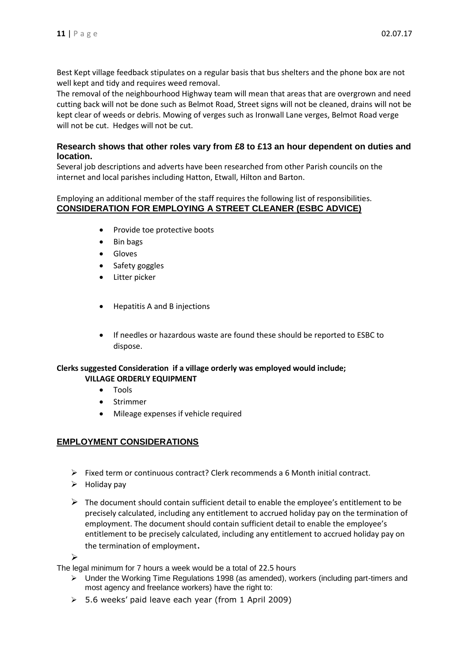Best Kept village feedback stipulates on a regular basis that bus shelters and the phone box are not well kept and tidy and requires weed removal.

The removal of the neighbourhood Highway team will mean that areas that are overgrown and need cutting back will not be done such as Belmot Road, Street signs will not be cleaned, drains will not be kept clear of weeds or debris. Mowing of verges such as Ironwall Lane verges, Belmot Road verge will not be cut. Hedges will not be cut.

#### **Research shows that other roles vary from £8 to £13 an hour dependent on duties and location.**

Several job descriptions and adverts have been researched from other Parish councils on the internet and local parishes including Hatton, Etwall, Hilton and Barton.

#### Employing an additional member of the staff requires the following list of responsibilities. **CONSIDERATION FOR EMPLOYING A STREET CLEANER (ESBC ADVICE)**

- Provide toe protective boots
- Bin bags
- Gloves
- Safety goggles
- Litter picker
- Hepatitis A and B injections
- If needles or hazardous waste are found these should be reported to ESBC to dispose.

#### **Clerks suggested Consideration if a village orderly was employed would include; VILLAGE ORDERLY EQUIPMENT**

- Tools
- Strimmer
- Mileage expenses if vehicle required

# **EMPLOYMENT CONSIDERATIONS**

- $\triangleright$  Fixed term or continuous contract? Clerk recommends a 6 Month initial contract.
- $\triangleright$  Holiday pay
- $\triangleright$  The document should contain sufficient detail to enable the employee's entitlement to be precisely calculated, including any entitlement to accrued holiday pay on the termination of employment. The document should contain sufficient detail to enable the employee's entitlement to be precisely calculated, including any entitlement to accrued holiday pay on the termination of employment.

```
➢
```
The legal minimum for 7 hours a week would be a total of 22.5 hours

- ➢ Under the Working Time Regulations 1998 (as amended), workers (including part-timers and most agency and freelance workers) have the right to:
- ➢ 5.6 weeks' paid leave each year (from 1 April 2009)